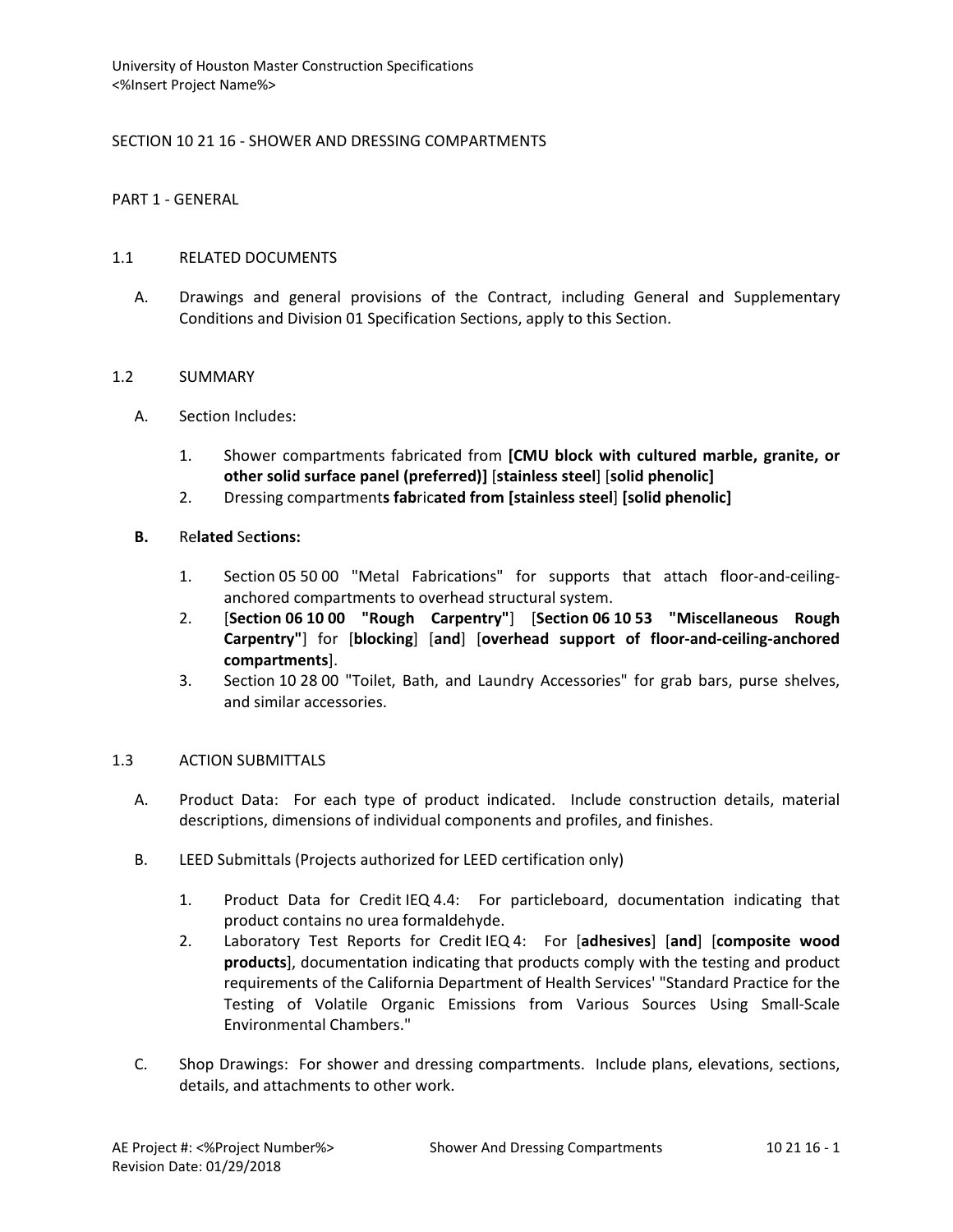# SECTION 10 21 16 - SHOWER AND DRESSING COMPARTMENTS

PART 1 - GENERAL

#### 1.1 RELATED DOCUMENTS

A. Drawings and general provisions of the Contract, including General and Supplementary Conditions and Division 01 Specification Sections, apply to this Section.

#### 1.2 SUMMARY

- A. Section Includes:
	- 1. Shower compartments fabricated from **[CMU block with cultured marble, granite, or other solid surface panel (preferred)]** [**stainless steel**] [**solid phenolic]**
	- 2. Dressing compartment**s fab**ric**ated from [stainless steel**] **[solid phenolic]**

# **B.** Re**lated** Se**ctions:**

- 1. Section 05 50 00 "Metal Fabrications" for supports that attach floor-and-ceilinganchored compartments to overhead structural system.
- 2. [**Section 06 10 00 "Rough Carpentry"**] [**Section 06 10 53 "Miscellaneous Rough Carpentry"**] for [**blocking**] [**and**] [**overhead support of floor-and-ceiling-anchored compartments**].
- 3. Section 10 28 00 "Toilet, Bath, and Laundry Accessories" for grab bars, purse shelves, and similar accessories.

# 1.3 ACTION SUBMITTALS

- A. Product Data: For each type of product indicated. Include construction details, material descriptions, dimensions of individual components and profiles, and finishes.
- B. LEED Submittals (Projects authorized for LEED certification only)
	- 1. Product Data for Credit IEQ 4.4: For particleboard, documentation indicating that product contains no urea formaldehyde.
	- 2. Laboratory Test Reports for Credit IEQ 4: For [**adhesives**] [**and**] [**composite wood products**], documentation indicating that products comply with the testing and product requirements of the California Department of Health Services' "Standard Practice for the Testing of Volatile Organic Emissions from Various Sources Using Small-Scale Environmental Chambers."
- C. Shop Drawings: For shower and dressing compartments. Include plans, elevations, sections, details, and attachments to other work.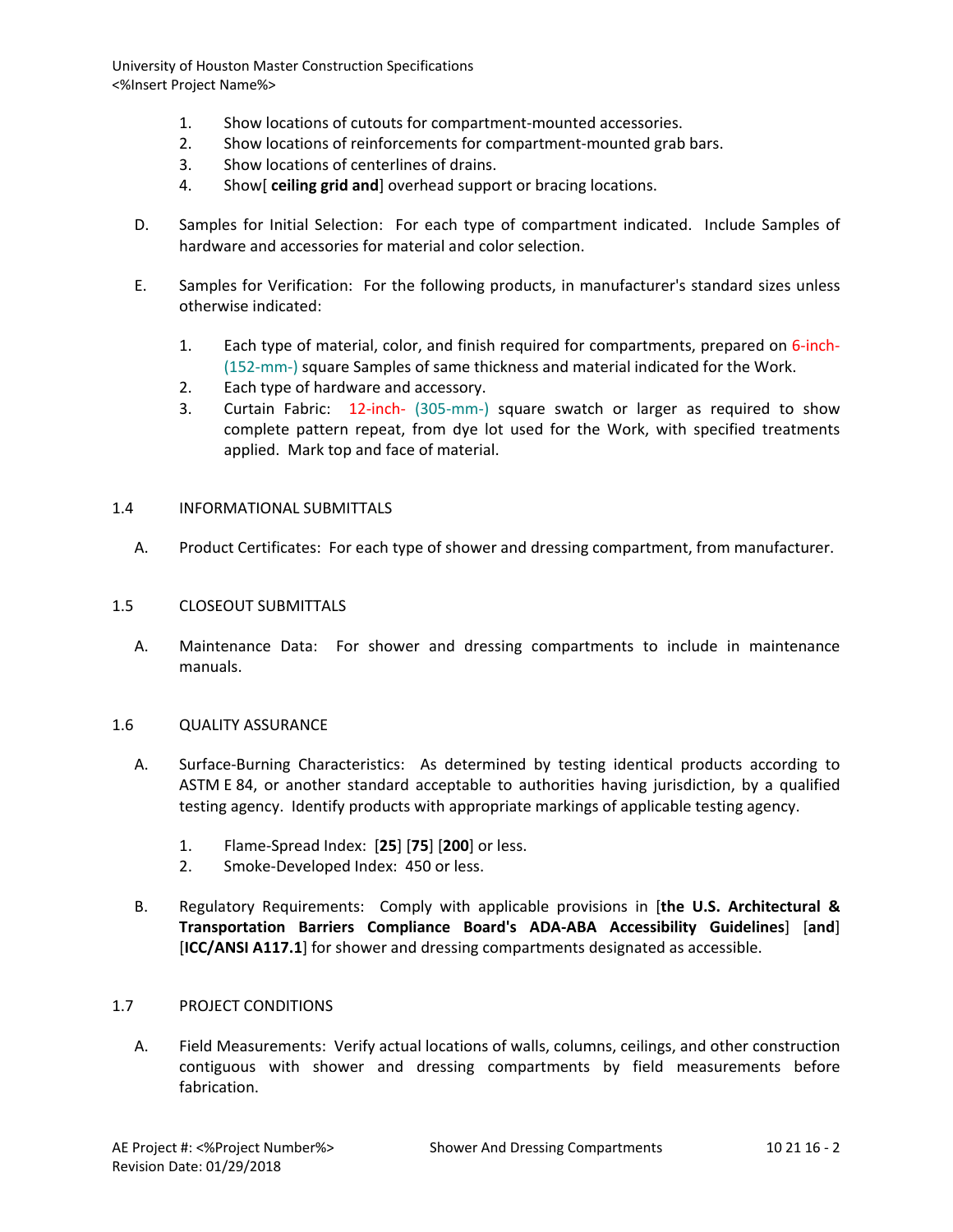- 1. Show locations of cutouts for compartment-mounted accessories.
- 2. Show locations of reinforcements for compartment-mounted grab bars.
- 3. Show locations of centerlines of drains.
- 4. Show[ **ceiling grid and**] overhead support or bracing locations.
- D. Samples for Initial Selection: For each type of compartment indicated. Include Samples of hardware and accessories for material and color selection.
- E. Samples for Verification: For the following products, in manufacturer's standard sizes unless otherwise indicated:
	- 1. Each type of material, color, and finish required for compartments, prepared on 6-inch- (152-mm-) square Samples of same thickness and material indicated for the Work.
	- 2. Each type of hardware and accessory.
	- 3. Curtain Fabric: 12-inch- (305-mm-) square swatch or larger as required to show complete pattern repeat, from dye lot used for the Work, with specified treatments applied. Mark top and face of material.

#### 1.4 INFORMATIONAL SUBMITTALS

A. Product Certificates: For each type of shower and dressing compartment, from manufacturer.

#### 1.5 CLOSEOUT SUBMITTALS

A. Maintenance Data: For shower and dressing compartments to include in maintenance manuals.

#### 1.6 QUALITY ASSURANCE

- A. Surface-Burning Characteristics: As determined by testing identical products according to ASTM E 84, or another standard acceptable to authorities having jurisdiction, by a qualified testing agency. Identify products with appropriate markings of applicable testing agency.
	- 1. Flame-Spread Index: [**25**] [**75**] [**200**] or less.
	- 2. Smoke-Developed Index: 450 or less.
- B. Regulatory Requirements: Comply with applicable provisions in [**the U.S. Architectural & Transportation Barriers Compliance Board's ADA-ABA Accessibility Guidelines**] [**and**] [**ICC/ANSI A117.1**] for shower and dressing compartments designated as accessible.

# 1.7 PROJECT CONDITIONS

A. Field Measurements: Verify actual locations of walls, columns, ceilings, and other construction contiguous with shower and dressing compartments by field measurements before fabrication.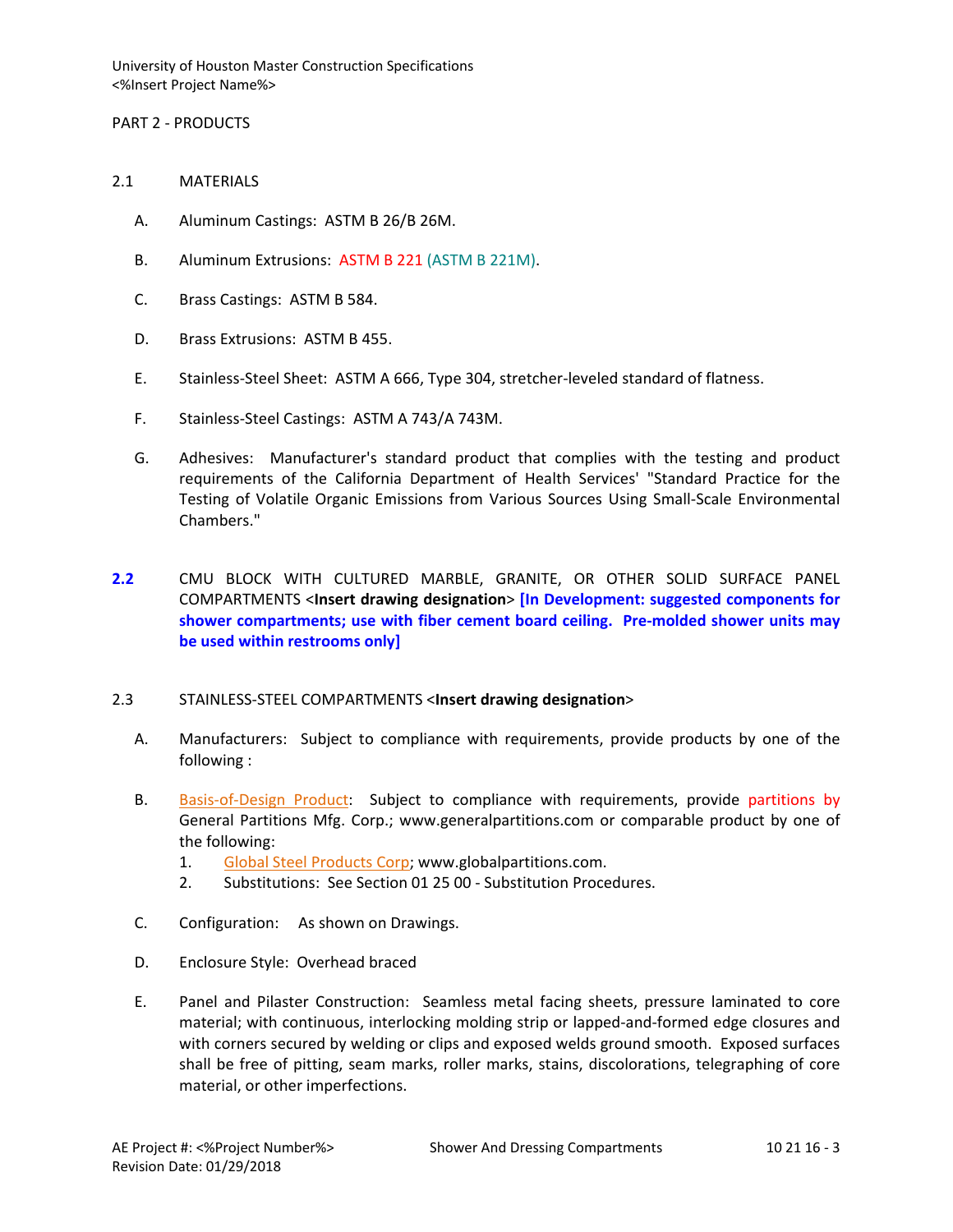PART 2 - PRODUCTS

- 2.1 MATERIALS
	- A. Aluminum Castings: ASTM B 26/B 26M.
	- B. Aluminum Extrusions: ASTM B 221 (ASTM B 221M).
	- C. Brass Castings: ASTM B 584.
	- D. Brass Extrusions: ASTM B 455.
	- E. Stainless-Steel Sheet: ASTM A 666, Type 304, stretcher-leveled standard of flatness.
	- F. Stainless-Steel Castings: ASTM A 743/A 743M.
	- G. Adhesives: Manufacturer's standard product that complies with the testing and product requirements of the California Department of Health Services' "Standard Practice for the Testing of Volatile Organic Emissions from Various Sources Using Small-Scale Environmental Chambers."
- **2.2** CMU BLOCK WITH CULTURED MARBLE, GRANITE, OR OTHER SOLID SURFACE PANEL COMPARTMENTS <**Insert drawing designation**> **[In Development: suggested components for shower compartments; use with fiber cement board ceiling. Pre-molded shower units may be used within restrooms only]**

#### 2.3 STAINLESS-STEEL COMPARTMENTS <**Insert drawing designation**>

- A. Manufacturers: Subject to compliance with requirements, provide products by one of the following :
- B. [Basis-of-Design Product:](http://www.specagent.com/LookUp/?ulid=619&mf=04&src=wd) Subject to compliance with requirements, provide partitions by General Partitions Mfg. Corp.; www.generalpartitions.com or comparable product by one of the following:
	- 1. [Global Steel Products Corp;](http://www.specagent.com/LookUp/?uid=123456792021&mf=04&src=wd) www.globalpartitions.com.
	- 2. Substitutions: See Section 01 25 00 Substitution Procedures.
- C. Configuration: As shown on Drawings.
- D. Enclosure Style: Overhead braced
- E. Panel and Pilaster Construction: Seamless metal facing sheets, pressure laminated to core material; with continuous, interlocking molding strip or lapped-and-formed edge closures and with corners secured by welding or clips and exposed welds ground smooth. Exposed surfaces shall be free of pitting, seam marks, roller marks, stains, discolorations, telegraphing of core material, or other imperfections.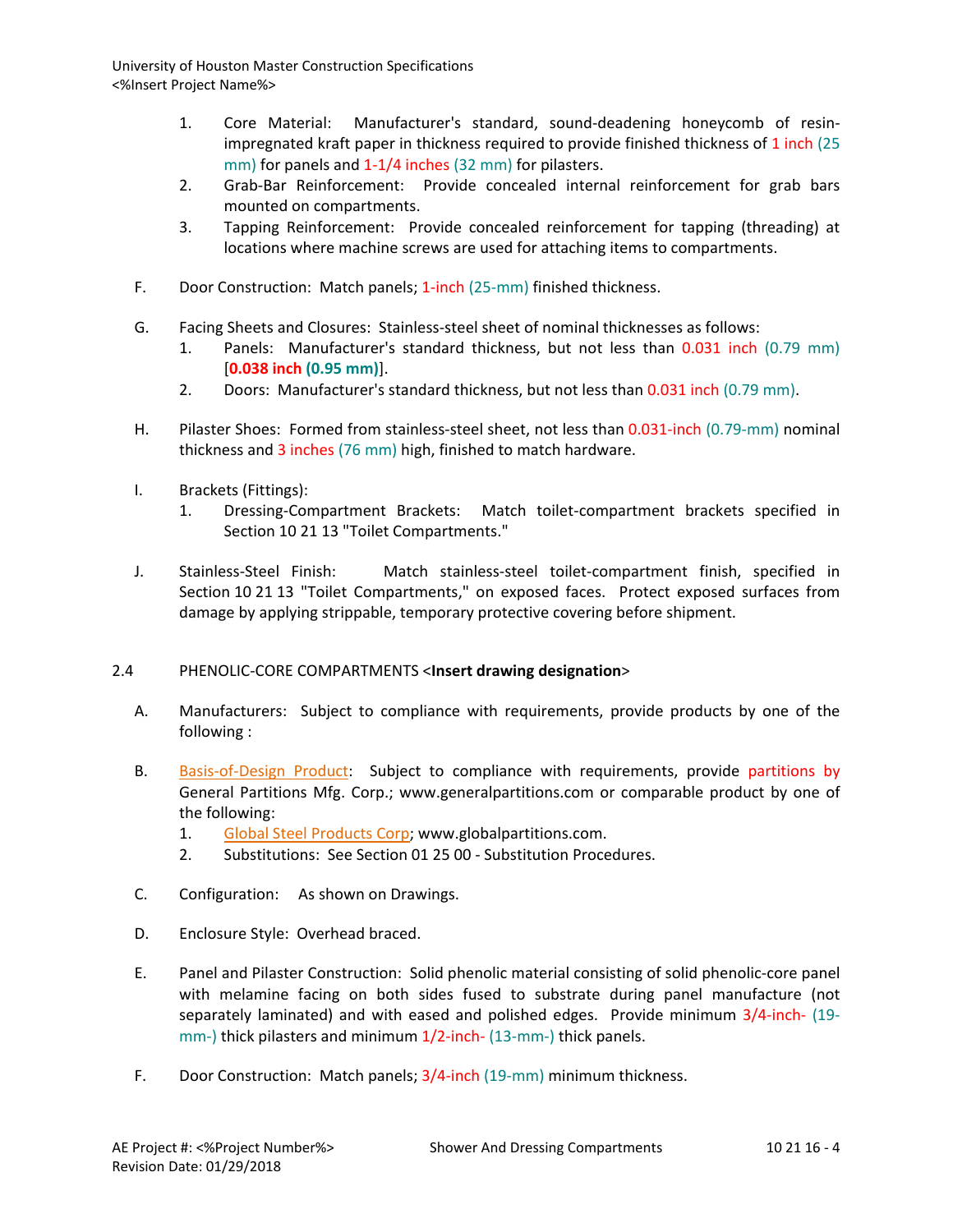- 1. Core Material: Manufacturer's standard, sound-deadening honeycomb of resinimpregnated kraft paper in thickness required to provide finished thickness of 1 inch (25 mm) for panels and 1-1/4 inches (32 mm) for pilasters.
- 2. Grab-Bar Reinforcement: Provide concealed internal reinforcement for grab bars mounted on compartments.
- 3. Tapping Reinforcement: Provide concealed reinforcement for tapping (threading) at locations where machine screws are used for attaching items to compartments.
- F. Door Construction: Match panels; 1-inch (25-mm) finished thickness.
- G. Facing Sheets and Closures: Stainless-steel sheet of nominal thicknesses as follows:
	- 1. Panels: Manufacturer's standard thickness, but not less than 0.031 inch (0.79 mm) [**0.038 inch (0.95 mm)**].
	- 2. Doors: Manufacturer's standard thickness, but not less than 0.031 inch (0.79 mm).
- H. Pilaster Shoes: Formed from stainless-steel sheet, not less than 0.031-inch (0.79-mm) nominal thickness and 3 inches (76 mm) high, finished to match hardware.
- I. Brackets (Fittings):
	- 1. Dressing-Compartment Brackets: Match toilet-compartment brackets specified in Section 10 21 13 "Toilet Compartments."
- J. Stainless-Steel Finish: Match stainless-steel toilet-compartment finish, specified in Section 10 21 13 "Toilet Compartments," on exposed faces. Protect exposed surfaces from damage by applying strippable, temporary protective covering before shipment.

# 2.4 PHENOLIC-CORE COMPARTMENTS <**Insert drawing designation**>

- A. Manufacturers: Subject to compliance with requirements, provide products by one of the following :
- B. [Basis-of-Design Product:](http://www.specagent.com/LookUp/?ulid=619&mf=04&src=wd) Subject to compliance with requirements, provide partitions by General Partitions Mfg. Corp.; www.generalpartitions.com or comparable product by one of the following:
	- 1. [Global Steel Products Corp;](http://www.specagent.com/LookUp/?uid=123456792021&mf=04&src=wd) www.globalpartitions.com.
	- 2. Substitutions: See Section 01 25 00 Substitution Procedures.
- C. Configuration: As shown on Drawings.
- D. Enclosure Style: Overhead braced.
- E. Panel and Pilaster Construction: Solid phenolic material consisting of solid phenolic-core panel with melamine facing on both sides fused to substrate during panel manufacture (not separately laminated) and with eased and polished edges. Provide minimum 3/4-inch- (19 mm-) thick pilasters and minimum 1/2-inch- (13-mm-) thick panels.
- F. Door Construction: Match panels; 3/4-inch (19-mm) minimum thickness.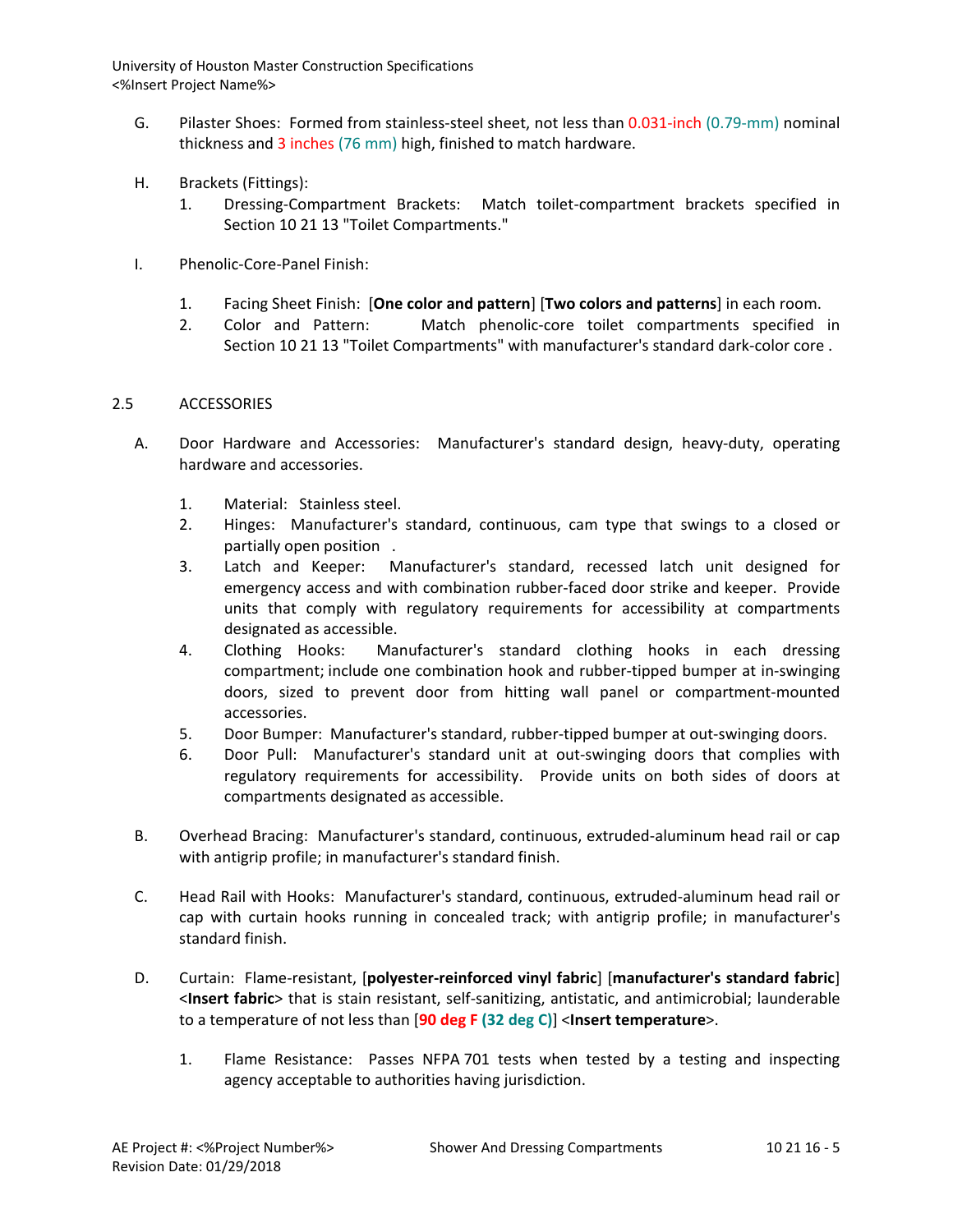- G. Pilaster Shoes: Formed from stainless-steel sheet, not less than 0.031-inch (0.79-mm) nominal thickness and 3 inches (76 mm) high, finished to match hardware.
- H. Brackets (Fittings):
	- 1. Dressing-Compartment Brackets: Match toilet-compartment brackets specified in Section 10 21 13 "Toilet Compartments."
- I. Phenolic-Core-Panel Finish:
	- 1. Facing Sheet Finish: [**One color and pattern**] [**Two colors and patterns**] in each room.
	- 2. Color and Pattern: Match phenolic-core toilet compartments specified in Section 10 21 13 "Toilet Compartments" with manufacturer's standard dark-color core .

# 2.5 ACCESSORIES

- A. Door Hardware and Accessories: Manufacturer's standard design, heavy-duty, operating hardware and accessories.
	- 1. Material: Stainless steel.
	- 2. Hinges: Manufacturer's standard, continuous, cam type that swings to a closed or partially open position .
	- 3. Latch and Keeper: Manufacturer's standard, recessed latch unit designed for emergency access and with combination rubber-faced door strike and keeper. Provide units that comply with regulatory requirements for accessibility at compartments designated as accessible.
	- 4. Clothing Hooks: Manufacturer's standard clothing hooks in each dressing compartment; include one combination hook and rubber-tipped bumper at in-swinging doors, sized to prevent door from hitting wall panel or compartment-mounted accessories.
	- 5. Door Bumper: Manufacturer's standard, rubber-tipped bumper at out-swinging doors.
	- 6. Door Pull: Manufacturer's standard unit at out-swinging doors that complies with regulatory requirements for accessibility. Provide units on both sides of doors at compartments designated as accessible.
- B. Overhead Bracing: Manufacturer's standard, continuous, extruded-aluminum head rail or cap with antigrip profile; in manufacturer's standard finish.
- C. Head Rail with Hooks: Manufacturer's standard, continuous, extruded-aluminum head rail or cap with curtain hooks running in concealed track; with antigrip profile; in manufacturer's standard finish.
- D. Curtain: Flame-resistant, [**polyester-reinforced vinyl fabric**] [**manufacturer's standard fabric**] <**Insert fabric**> that is stain resistant, self-sanitizing, antistatic, and antimicrobial; launderable to a temperature of not less than [**90 deg F (32 deg C)**] <**Insert temperature**>.
	- 1. Flame Resistance: Passes NFPA 701 tests when tested by a testing and inspecting agency acceptable to authorities having jurisdiction.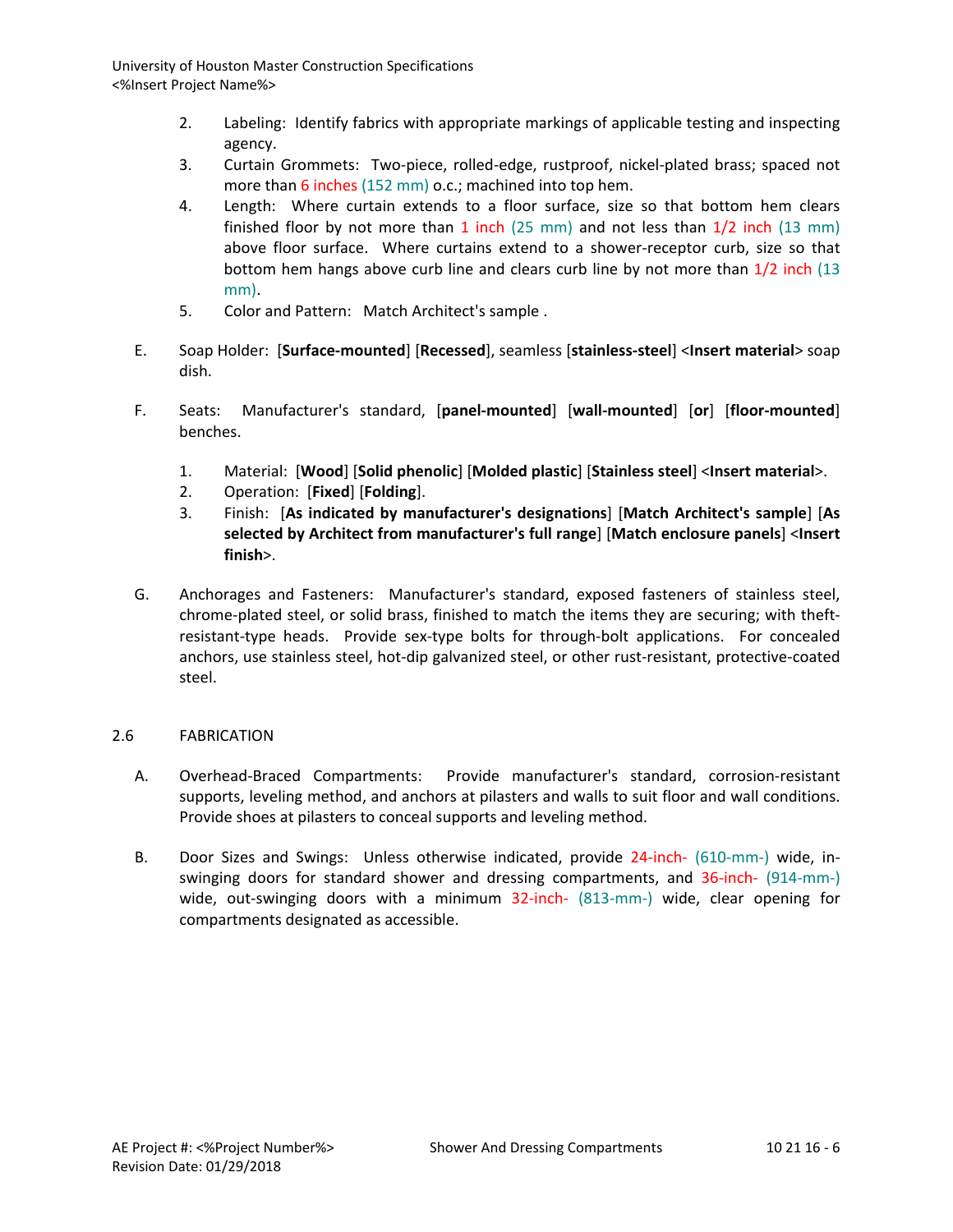- 2. Labeling: Identify fabrics with appropriate markings of applicable testing and inspecting agency.
- 3. Curtain Grommets: Two-piece, rolled-edge, rustproof, nickel-plated brass; spaced not more than 6 inches (152 mm) o.c.; machined into top hem.
- 4. Length: Where curtain extends to a floor surface, size so that bottom hem clears finished floor by not more than 1 inch (25 mm) and not less than  $1/2$  inch (13 mm) above floor surface. Where curtains extend to a shower-receptor curb, size so that bottom hem hangs above curb line and clears curb line by not more than 1/2 inch (13 mm).
- 5. Color and Pattern: Match Architect's sample .
- E. Soap Holder: [**Surface-mounted**] [**Recessed**], seamless [**stainless-steel**] <**Insert material**> soap dish.
- F. Seats: Manufacturer's standard, [**panel-mounted**] [**wall-mounted**] [**or**] [**floor-mounted**] benches.
	- 1. Material: [**Wood**] [**Solid phenolic**] [**Molded plastic**] [**Stainless steel**] <**Insert material**>.
	- 2. Operation: [**Fixed**] [**Folding**].
	- 3. Finish: [**As indicated by manufacturer's designations**] [**Match Architect's sample**] [**As selected by Architect from manufacturer's full range**] [**Match enclosure panels**] <**Insert finish**>.
- G. Anchorages and Fasteners: Manufacturer's standard, exposed fasteners of stainless steel, chrome-plated steel, or solid brass, finished to match the items they are securing; with theftresistant-type heads. Provide sex-type bolts for through-bolt applications. For concealed anchors, use stainless steel, hot-dip galvanized steel, or other rust-resistant, protective-coated steel.

# 2.6 FABRICATION

- A. Overhead-Braced Compartments: Provide manufacturer's standard, corrosion-resistant supports, leveling method, and anchors at pilasters and walls to suit floor and wall conditions. Provide shoes at pilasters to conceal supports and leveling method.
- B. Door Sizes and Swings: Unless otherwise indicated, provide 24-inch- (610-mm-) wide, inswinging doors for standard shower and dressing compartments, and 36-inch- (914-mm-) wide, out-swinging doors with a minimum 32-inch- (813-mm-) wide, clear opening for compartments designated as accessible.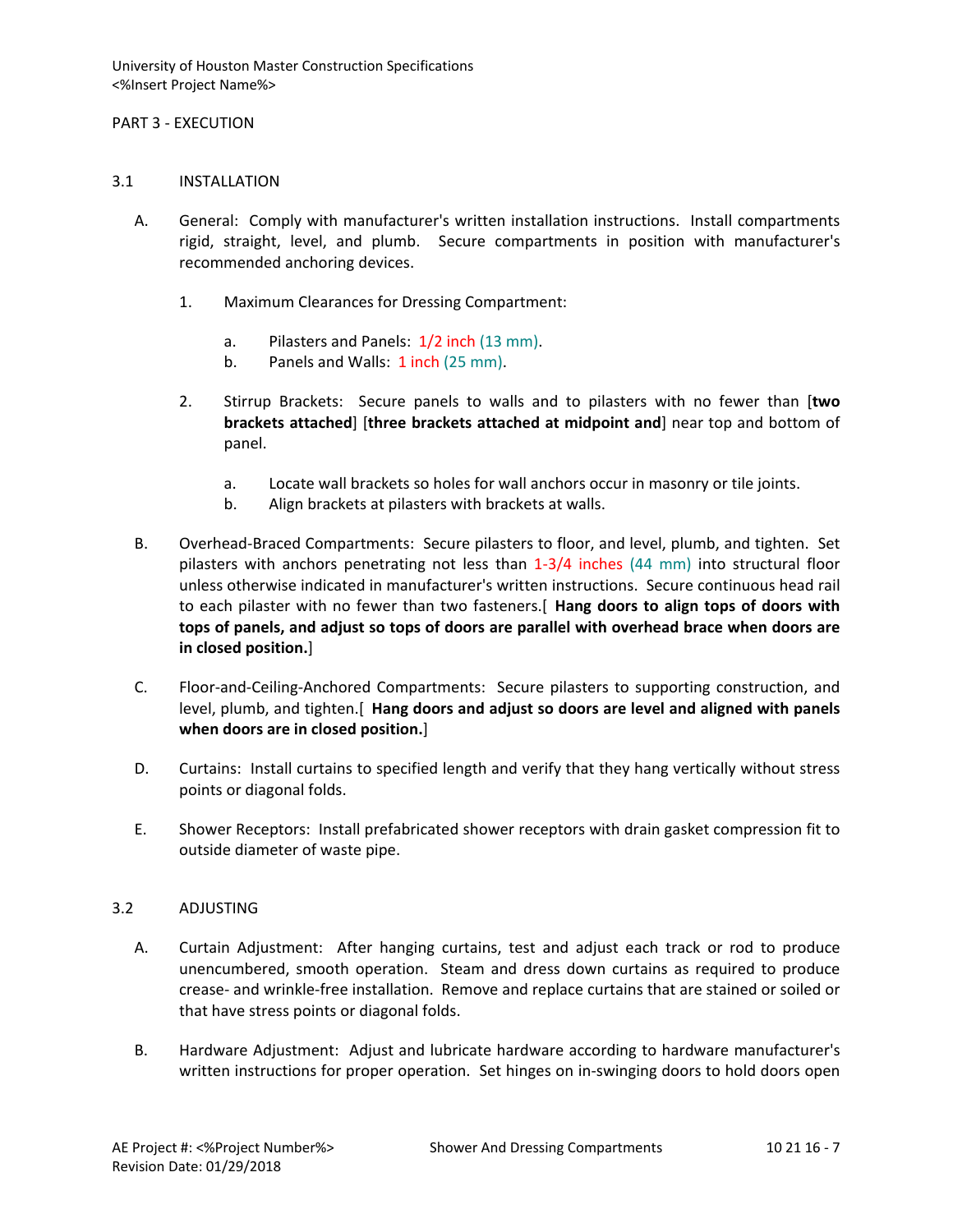#### PART 3 - EXECUTION

#### 3.1 INSTALLATION

- A. General: Comply with manufacturer's written installation instructions. Install compartments rigid, straight, level, and plumb. Secure compartments in position with manufacturer's recommended anchoring devices.
	- 1. Maximum Clearances for Dressing Compartment:
		- a. Pilasters and Panels: 1/2 inch (13 mm).
		- b. Panels and Walls: 1 inch (25 mm).
	- 2. Stirrup Brackets: Secure panels to walls and to pilasters with no fewer than [**two brackets attached**] [**three brackets attached at midpoint and**] near top and bottom of panel.
		- a. Locate wall brackets so holes for wall anchors occur in masonry or tile joints.
		- b. Align brackets at pilasters with brackets at walls.
- B. Overhead-Braced Compartments: Secure pilasters to floor, and level, plumb, and tighten. Set pilasters with anchors penetrating not less than 1-3/4 inches (44 mm) into structural floor unless otherwise indicated in manufacturer's written instructions. Secure continuous head rail to each pilaster with no fewer than two fasteners.[ **Hang doors to align tops of doors with tops of panels, and adjust so tops of doors are parallel with overhead brace when doors are in closed position.**]
- C. Floor-and-Ceiling-Anchored Compartments: Secure pilasters to supporting construction, and level, plumb, and tighten.[ **Hang doors and adjust so doors are level and aligned with panels when doors are in closed position.**]
- D. Curtains: Install curtains to specified length and verify that they hang vertically without stress points or diagonal folds.
- E. Shower Receptors: Install prefabricated shower receptors with drain gasket compression fit to outside diameter of waste pipe.

# 3.2 ADJUSTING

- A. Curtain Adjustment: After hanging curtains, test and adjust each track or rod to produce unencumbered, smooth operation. Steam and dress down curtains as required to produce crease- and wrinkle-free installation. Remove and replace curtains that are stained or soiled or that have stress points or diagonal folds.
- B. Hardware Adjustment: Adjust and lubricate hardware according to hardware manufacturer's written instructions for proper operation. Set hinges on in-swinging doors to hold doors open